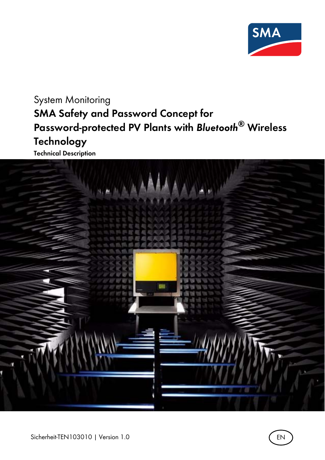

System Monitoring **SMA Safety and Password Concept for Password-protected PV Plants with** *Bluetooth***® Wireless Technology**



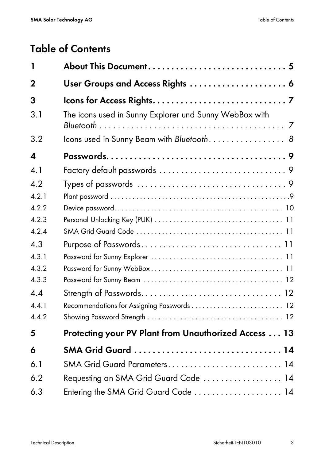# **Table of Contents**

| 1           |                                                        |
|-------------|--------------------------------------------------------|
| $\mathbf 2$ | User Groups and Access Rights  6                       |
| 3           |                                                        |
| 3.1         | The icons used in Sunny Explorer und Sunny WebBox with |
| 3.2         | Icons used in Sunny Beam with Bluetooth 8              |
| 4           |                                                        |
| 4.1         |                                                        |
| 4.2         |                                                        |
| 4.2.1       |                                                        |
| 4.2.2       |                                                        |
| 4.2.3       |                                                        |
| 4.2.4       |                                                        |
| 4.3         |                                                        |
| 4.3.1       |                                                        |
| 4.3.2       |                                                        |
| 4.3.3       |                                                        |
| 4.4         |                                                        |
| 4.4.1       | Recommendations for Assigning Passwords  12            |
| 4.4.2       |                                                        |
| 5           | Protecting your PV Plant from Unauthorized Access  13  |
| 6           | SMA Grid Guard  14                                     |
| 6.1         | SMA Grid Guard Parameters 14                           |
| 6.2         | Requesting an SMA Grid Guard Code  14                  |
| 6.3         | Entering the SMA Grid Guard Code  14                   |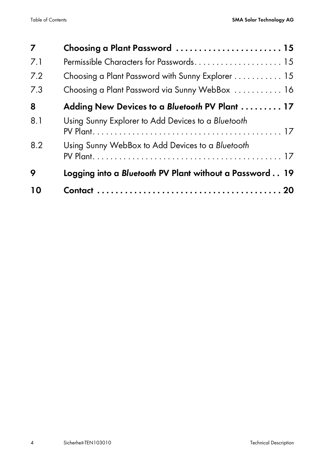| 7   | Choosing a Plant Password  15                           |
|-----|---------------------------------------------------------|
| 7.1 | Permissible Characters for Passwords 15                 |
| 7.2 | Choosing a Plant Password with Sunny Explorer 15        |
| 7.3 | Choosing a Plant Password via Sunny WebBox  16          |
| 8   | Adding New Devices to a Bluetooth PV Plant  17          |
| 8.1 | Using Sunny Explorer to Add Devices to a Bluetooth      |
| 8.2 | Using Sunny WebBox to Add Devices to a Bluetooth        |
| 9   | Logging into a Bluetooth PV Plant without a Password 19 |
| 10  |                                                         |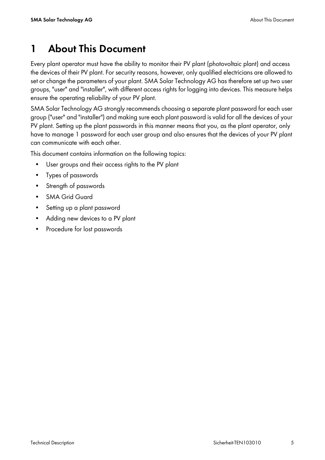# <span id="page-4-0"></span>**1 About This Document**

Every plant operator must have the ability to monitor their PV plant (photovoltaic plant) and access the devices of their PV plant. For security reasons, however, only qualified electricians are allowed to set or change the parameters of your plant. SMA Solar Technology AG has therefore set up two user groups, "user" and "installer", with different access rights for logging into devices. This measure helps ensure the operating reliability of your PV plant.

SMA Solar Technology AG strongly recommends choosing a separate plant password for each user group ("user" and "installer") and making sure each plant password is valid for all the devices of your PV plant. Setting up the plant passwords in this manner means that you, as the plant operator, only have to manage 1 password for each user group and also ensures that the devices of your PV plant can communicate with each other.

This document contains information on the following topics:

- User groups and their access rights to the PV plant
- Types of passwords
- Strength of passwords
- **SMA Grid Guard**
- Setting up a plant password
- Adding new devices to a PV plant
- Procedure for lost passwords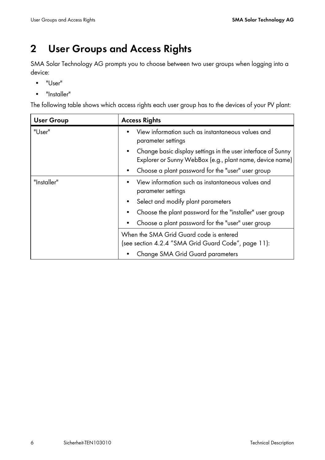# <span id="page-5-0"></span>**2 User Groups and Access Rights**

SMA Solar Technology AG prompts you to choose between two user groups when logging into a device:

- "User"
- "Installer"

The following table shows which access rights each user group has to the devices of your PV plant:

| <b>User Group</b> | <b>Access Rights</b>                                                                                                     |  |  |  |
|-------------------|--------------------------------------------------------------------------------------------------------------------------|--|--|--|
| "User"            | View information such as instantaneous values and<br>parameter settings                                                  |  |  |  |
|                   | Change basic display settings in the user interface of Sunny<br>Explorer or Sunny WebBox (e.g., plant name, device name) |  |  |  |
|                   | Choose a plant password for the "user" user group                                                                        |  |  |  |
| "Installer"       | View information such as instantaneous values and<br>parameter settings                                                  |  |  |  |
|                   | Select and modify plant parameters                                                                                       |  |  |  |
|                   | Choose the plant password for the "installer" user group<br>٠                                                            |  |  |  |
|                   | Choose a plant password for the "user" user group                                                                        |  |  |  |
|                   | When the SMA Grid Guard code is entered<br>(see section 4.2.4 "SMA Grid Guard Code", page 11):                           |  |  |  |
|                   | Change SMA Grid Guard parameters                                                                                         |  |  |  |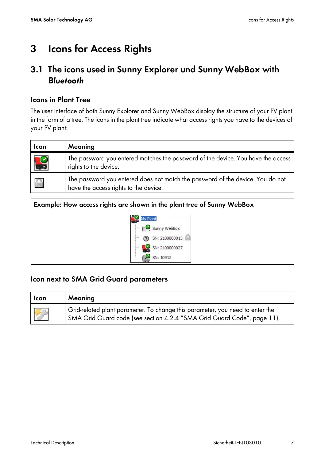# <span id="page-6-0"></span>**3 Icons for Access Rights**

#### <span id="page-6-1"></span>**3.1 The icons used in Sunny Explorer und Sunny WebBox with**  *Bluetooth*

#### **Icons in Plant Tree**

The user interface of both Sunny Explorer and Sunny WebBox display the structure of your PV plant in the form of a tree. The icons in the plant tree indicate what access rights you have to the devices of your PV plant:

| <b>Icon</b>      | Meaning                                                                                                                 |
|------------------|-------------------------------------------------------------------------------------------------------------------------|
| S                | The password you entered matches the password of the device. You have the access<br>rights to the device.               |
| $\sum_{i=1}^{n}$ | The password you entered does not match the password of the device. You do not<br>have the access rights to the device. |

#### **Example: How access rights are shown in the plant tree of Sunny WebBox**



#### **Icon next to SMA Grid Guard parameters**

| Icon | Meaning                                                                                                                                                  |
|------|----------------------------------------------------------------------------------------------------------------------------------------------------------|
| 罗马   | Grid-related plant parameter. To change this parameter, you need to enter the<br>SMA Grid Guard code (see section 4.2.4 "SMA Grid Guard Code", page 11). |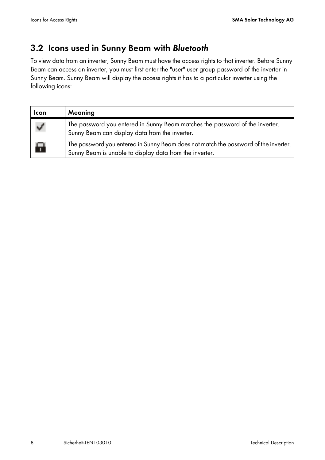## <span id="page-7-0"></span>**3.2 Icons used in Sunny Beam with** *Bluetooth*

To view data from an inverter, Sunny Beam must have the access rights to that inverter. Before Sunny Beam can access an inverter, you must first enter the "user" user group password of the inverter in Sunny Beam. Sunny Beam will display the access rights it has to a particular inverter using the following icons:

| Icon | Meaning                                                                                                                                          |
|------|--------------------------------------------------------------------------------------------------------------------------------------------------|
| ✓    | The password you entered in Sunny Beam matches the password of the inverter.<br>Sunny Beam can display data from the inverter.                   |
| to i | The password you entered in Sunny Beam does not match the password of the inverter.  <br>Sunny Beam is unable to display data from the inverter. |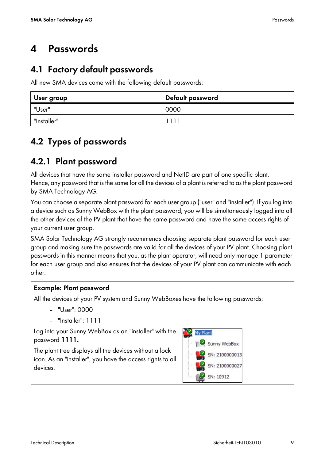# <span id="page-8-0"></span>**4 Passwords**

## <span id="page-8-1"></span>**4.1 Factory default passwords**

All new SMA devices come with the following default passwords:

| User group  | Default password |  |  |
|-------------|------------------|--|--|
| "User"      | 0000             |  |  |
| "Installer" |                  |  |  |

## <span id="page-8-2"></span>**4.2 Types of passwords**

## <span id="page-8-3"></span>**4.2.1 Plant password**

All devices that have the same installer password and NetID are part of one specific plant. Hence, any password that is the same for all the devices of a plant is referred to as the plant password by SMA Technology AG.

You can choose a separate plant password for each user group ("user" and "installer"). If you log into a device such as Sunny WebBox with the plant password, you will be simultaneously logged into all the other devices of the PV plant that have the same password and have the same access rights of your current user group.

SMA Solar Technology AG strongly recommends choosing separate plant password for each user group and making sure the passwords are valid for all the devices of your PV plant. Choosing plant passwords in this manner means that you, as the plant operator, will need only manage 1 parameter for each user group and also ensures that the devices of your PV plant can communicate with each other.

#### **Example: Plant password**

All the devices of your PV system and Sunny WebBoxes have the following passwords:

- "User": 0000
- "Installer": 1111

Log into your Sunny WebBox as an "installer" with the password **1111.**

The plant tree displays all the devices without a lock icon. As an "installer", you have the access rights to all devices.

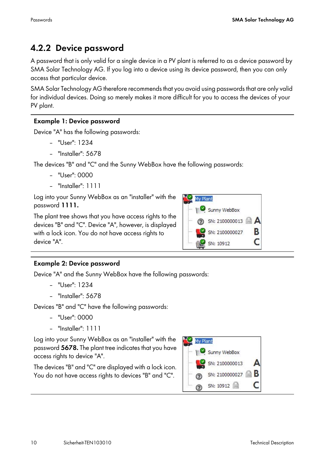## <span id="page-9-0"></span>**4.2.2 Device password**

A password that is only valid for a single device in a PV plant is referred to as a device password by SMA Solar Technology AG. If you log into a device using its device password, then you can only access that particular device.

SMA Solar Technology AG therefore recommends that you avoid using passwords that are only valid for individual devices. Doing so merely makes it more difficult for you to access the devices of your PV plant.

#### **Example 1: Device password**

Device "A" has the following passwords:

- "User": 1234
- "Installer": 5678

The devices "B" and "C" and the Sunny WebBox have the following passwords:

- $-$  "User": 0000
- "Installer": 1111

Log into your Sunny WebBox as an "installer" with the password **1111.**

The plant tree shows that you have access rights to the devices "B" and "C". Device "A", however, is displayed with a lock icon. You do not have access rights to device "A".



#### **Example 2: Device password**

Device "A" and the Sunny WebBox have the following passwords:

- "User": 1234
- "Installer": 5678

Devices "B" and "C" have the following passwords:

- "User": 0000
- "Installer": 1111

Log into your Sunny WebBox as an "installer" with the password **5678.** The plant tree indicates that you have access rights to device "A".

The devices "B" and "C" are displayed with a lock icon. You do not have access rights to devices "B" and "C".

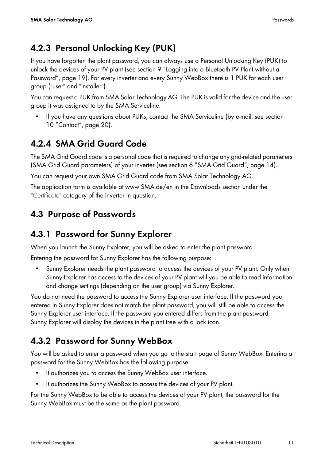## <span id="page-10-0"></span>**4.2.3 Personal Unlocking Key (PUK)**

If you have forgotten the plant password, you can always use a Personal Unlocking Key (PUK) to unlock the devices of your PV plant (see section [9 "Logging into a Bluetooth PV Plant without a](#page-18-0)  [Password", page 19\)](#page-18-0). For every inverter and every Sunny WebBox there is 1 PUK for each user group ("user" and "installer").

You can request a PUK from SMA Solar Technology AG. The PUK is valid for the device and the user group it was assigned to by the SMA Serviceline.

• If you have any questions about PUKs, contact the SMA Serviceline (by e-mail, see section [10 "Contact", page 20](#page-19-0)).

## <span id="page-10-1"></span>**4.2.4 SMA Grid Guard Code**

The SMA Grid Guard code is a personal code that is required to change any grid-related parameters (SMA Grid Guard parameters) of your inverter (see section [6 "SMA Grid Guard", page 14\)](#page-13-0).

You can request your own SMA Grid Guard code from SMA Solar Technology AG.

The application form is available at www.SMA.de/en in the Downloads section under the "Certificate" category of the inverter in question.

## <span id="page-10-2"></span>**4.3 Purpose of Passwords**

## <span id="page-10-3"></span>**4.3.1 Password for Sunny Explorer**

When you launch the Sunny Explorer, you will be asked to enter the plant password.

Entering the password for Sunny Explorer has the following purpose:

• Sunny Explorer needs the plant password to access the devices of your PV plant. Only when Sunny Explorer has access to the devices of your PV plant will you be able to read information and change settings (depending on the user group) via Sunny Explorer.

You do not need the password to access the Sunny Explorer user interface. If the password you entered in Sunny Explorer does not match the plant password, you will still be able to access the Sunny Explorer user interface. If the password you entered differs from the plant password, Sunny Explorer will display the devices in the plant tree with a lock icon.

## <span id="page-10-4"></span>**4.3.2 Password for Sunny WebBox**

You will be asked to enter a password when you go to the start page of Sunny WebBox. Entering a password for the Sunny WebBox has the following purpose:

- It authorizes you to access the Sunny WebBox user interface.
- It authorizes the Sunny WebBox to access the devices of your PV plant.

For the Sunny WebBox to be able to access the devices of your PV plant, the password for the Sunny WebBox must be the same as the plant password.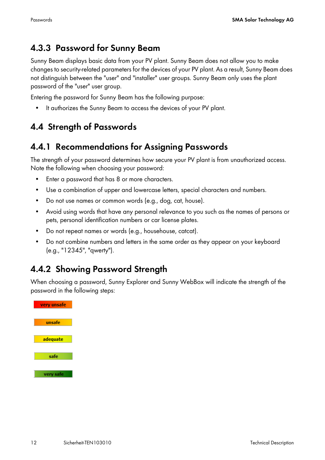## <span id="page-11-0"></span>**4.3.3 Password for Sunny Beam**

Sunny Beam displays basic data from your PV plant. Sunny Beam does not allow you to make changes to security-related parameters for the devices of your PV plant. As a result, Sunny Beam does not distinguish between the "user" and "installer" user groups. Sunny Beam only uses the plant password of the "user" user group.

Entering the password for Sunny Beam has the following purpose:

• It authorizes the Sunny Beam to access the devices of your PV plant.

## <span id="page-11-1"></span>**4.4 Strength of Passwords**

## <span id="page-11-2"></span>**4.4.1 Recommendations for Assigning Passwords**

The strength of your password determines how secure your PV plant is from unauthorized access. Note the following when choosing your password:

- Enter a password that has 8 or more characters.
- Use a combination of upper and lowercase letters, special characters and numbers.
- Do not use names or common words (e.g., dog, cat, house).
- Avoid using words that have any personal relevance to you such as the names of persons or pets, personal identification numbers or car license plates.
- Do not repeat names or words (e.g., househouse, catcat).
- Do not combine numbers and letters in the same order as they appear on your keyboard (e.g., "12345", "qwerty").

## <span id="page-11-3"></span>**4.4.2 Showing Password Strength**

When choosing a password, Sunny Explorer and Sunny WebBox will indicate the strength of the password in the following steps:

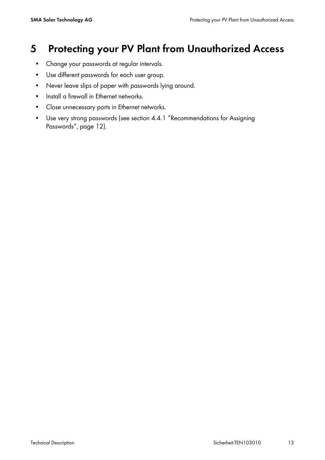## <span id="page-12-0"></span>**5 Protecting your PV Plant from Unauthorized Access**

- Change your passwords at regular intervals.
- Use different passwords for each user group.
- Never leave slips of paper with passwords lying around.
- Install a firewall in Ethernet networks.
- Close unnecessary ports in Ethernet networks.
- Use very strong passwords (see section [4.4.1 "Recommendations for Assigning](#page-11-2)  [Passwords", page 12\)](#page-11-2).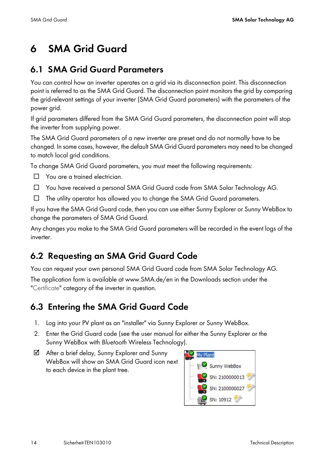# <span id="page-13-0"></span>**6 SMA Grid Guard**

#### <span id="page-13-1"></span>**6.1 SMA Grid Guard Parameters**

You can control how an inverter operates on a grid via its disconnection point. This disconnection point is referred to as the SMA Grid Guard. The disconnection point monitors the grid by comparing the grid-relevant settings of your inverter (SMA Grid Guard parameters) with the parameters of the power grid.

If grid parameters differed from the SMA Grid Guard parameters, the disconnection point will stop the inverter from supplying power.

The SMA Grid Guard parameters of a new inverter are preset and do not normally have to be changed. In some cases, however, the default SMA Grid Guard parameters may need to be changed to match local grid conditions.

To change SMA Grid Guard parameters, you must meet the following requirements:

- ☐ You are a trained electrician.
- ☐ You have received a personal SMA Grid Guard code from SMA Solar Technology AG.
- ☐ The utility operator has allowed you to change the SMA Grid Guard parameters.

If you have the SMA Grid Guard code, then you can use either Sunny Explorer or Sunny WebBox to change the parameters of SMA Grid Guard.

Any changes you make to the SMA Grid Guard parameters will be recorded in the event logs of the inverter.

## <span id="page-13-2"></span>**6.2 Requesting an SMA Grid Guard Code**

You can request your own personal SMA Grid Guard code from SMA Solar Technology AG. The application form is available at www.SMA.de/en in the Downloads section under the "Certificate" category of the inverter in question.

## <span id="page-13-3"></span>**6.3 Entering the SMA Grid Guard Code**

- 1. Log into your PV plant as an "installer" via Sunny Explorer or Sunny WebBox.
- 2. Enter the Grid Guard code (see the user manual for either the Sunny Explorer or the Sunny WebBox with *Bluetooth* Wireless Technology).
- ☑ After a brief delay, Sunny Explorer and Sunny WebBox will show an SMA Grid Guard icon next to each device in the plant tree.

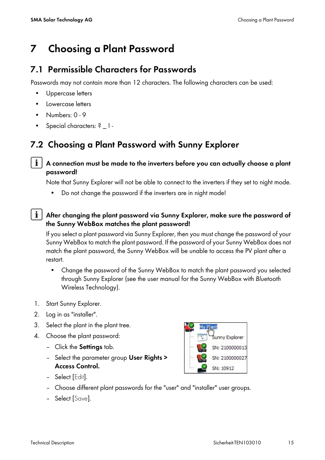# <span id="page-14-0"></span>**7 Choosing a Plant Password**

#### <span id="page-14-1"></span>**7.1 Permissible Characters for Passwords**

Passwords may not contain more than 12 characters. The following characters can be used:

- Uppercase letters
- Lowercase letters
- Numbers: 0 9
- Special characters: ? | -

## <span id="page-14-2"></span>**7.2 Choosing a Plant Password with Sunny Explorer**

#### **A connection must be made to the inverters before you can actually choose a plant password!**

Note that Sunny Explorer will not be able to connect to the inverters if they set to night mode.

• Do not change the password if the inverters are in night mode!

#### **After changing the plant password via Sunny Explorer, make sure the password of the Sunny WebBox matches the plant password!**

If you select a plant password via Sunny Explorer, then you must change the password of your Sunny WebBox to match the plant password. If the password of your Sunny WebBox does not match the plant password, the Sunny WebBox will be unable to access the PV plant after a restart.

- Change the password of the Sunny WebBox to match the plant password you selected through Sunny Explorer (see the user manual for the Sunny WebBox with *Bluetooth* Wireless Technology).
- 1. Start Sunny Explorer.
- 2. Log in as "installer".
- 3. Select the plant in the plant tree.
- 4. Choose the plant password:
	- Click the **Settings** tab.
	- Select the parameter group **User Rights > Access Control.**



- Select [Edit].
- Choose different plant passwords for the "user" and "installer" user groups.
- Select [Save].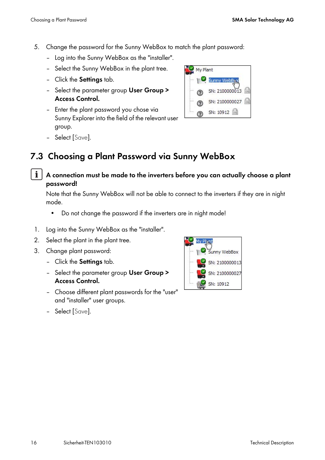- 5. Change the password for the Sunny WebBox to match the plant password:
	- Log into the Sunny WebBox as the "installer".
	- Select the Sunny WebBox in the plant tree.
	- Click the **Settings** tab.
	- Select the parameter group **User Group > Access Control.**
	- Enter the plant password you chose via Sunny Explorer into the field of the relevant user group.



– Select [Save].

## <span id="page-15-0"></span>**7.3 Choosing a Plant Password via Sunny WebBox**

**A connection must be made to the inverters before you can actually choose a plant password!**

Note that the Sunny WebBox will not be able to connect to the inverters if they are in night mode.

- Do not change the password if the inverters are in night mode!
- 1. Log into the Sunny WebBox as the "installer".
- 2. Select the plant in the plant tree.
- 3. Change plant password:
	- Click the **Settings** tab.
	- Select the parameter group **User Group > Access Control.**
	- Choose different plant passwords for the "user" and "installer" user groups.
- Sunny WebBox SN: 210000001 SN: 210000002 SN: 10912

– Select [Save].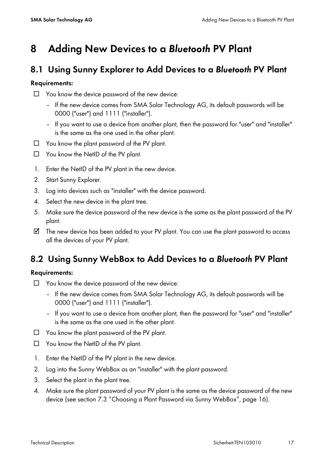# <span id="page-16-0"></span>**8 Adding New Devices to a** *Bluetooth* **PV Plant**

#### <span id="page-16-1"></span>**8.1 Using Sunny Explorer to Add Devices to a** *Bluetooth* **PV Plant**

#### **Requirements:**

- ☐ You know the device password of the new device:
	- If the new device comes from SMA Solar Technology AG, its default passwords will be 0000 ("user") and 1111 ("installer").
	- If you want to use a device from another plant, then the password for "user" and "installer" is the same as the one used in the other plant.
- ☐ You know the plant password of the PV plant.
- ☐ You know the NetID of the PV plant.
- 1. Enter the NetID of the PV plant in the new device.
- 2. Start Sunny Explorer.
- 3. Log into devices such as "installer" with the device password.
- 4. Select the new device in the plant tree.
- 5. Make sure the device password of the new device is the same as the plant password of the PV plant.
- ☑ The new device has been added to your PV plant. You can use the plant password to access all the devices of your PV plant.

## <span id="page-16-2"></span>**8.2 Using Sunny WebBox to Add Devices to a** *Bluetooth* **PV Plant**

#### **Requirements:**

- ☐ You know the device password of the new device:
	- If the new device comes from SMA Solar Technology AG, its default passwords will be 0000 ("user") and 1111 ("installer").
	- If you want to use a device from another plant, then the password for "user" and "installer" is the same as the one used in the other plant.
- ☐ You know the plant password of the PV plant.
- ☐ You know the NetID of the PV plant.
- 1. Enter the NetID of the PV plant in the new device.
- 2. Log into the Sunny WebBox as an "installer" with the plant password.
- 3. Select the plant in the plant tree.
- 4. Make sure the plant password of your PV plant is the same as the device password of the new device (see section [7.3 "Choosing a Plant Password via Sunny WebBox", page 16\)](#page-15-0).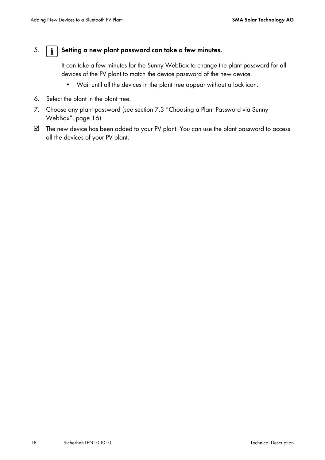#### 5. **Setting a new plant password can take a few minutes.**

It can take a few minutes for the Sunny WebBox to change the plant password for all devices of the PV plant to match the device password of the new device.

- Wait until all the devices in the plant tree appear without a lock icon.
- 6. Select the plant in the plant tree.
- 7. Choose any plant password (see section [7.3 "Choosing a Plant Password via Sunny](#page-15-0)  [WebBox", page 16](#page-15-0)).
- ☑ The new device has been added to your PV plant. You can use the plant password to access all the devices of your PV plant.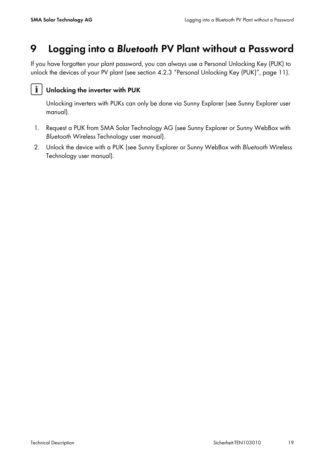# <span id="page-18-0"></span>**9 Logging into a** *Bluetooth* **PV Plant without a Password**

If you have forgotten your plant password, you can always use a Personal Unlocking Key (PUK) to unlock the devices of your PV plant (see section [4.2.3 "Personal Unlocking Key \(PUK\)", page 11\)](#page-10-0).

#### i. **Unlocking the inverter with PUK**

Unlocking inverters with PUKs can only be done via Sunny Explorer (see Sunny Explorer user manual).

- 1. Request a PUK from SMA Solar Technology AG (see Sunny Explorer or Sunny WebBox with *Bluetooth* Wireless Technology user manual).
- 2. Unlock the device with a PUK (see Sunny Explorer or Sunny WebBox with *Bluetooth* Wireless Technology user manual).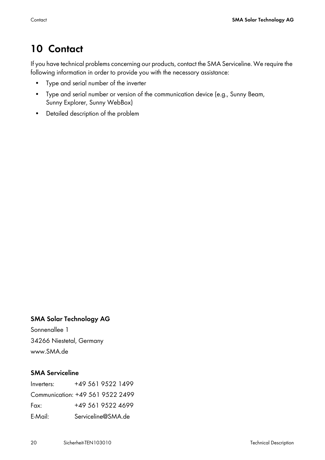# <span id="page-19-0"></span>**10 Contact**

If you have technical problems concerning our products, contact the SMA Serviceline. We require the following information in order to provide you with the necessary assistance:

- Type and serial number of the inverter
- Type and serial number or version of the communication device (e.g., Sunny Beam, Sunny Explorer, Sunny WebBox)
- Detailed description of the problem

#### **SMA Solar Technology AG**

Sonnenallee 1 34266 Niestetal, Germany www.SMA.de

#### **SMA Serviceline**

| Inverters:                       |  | +49 561 9522 1499  |  |
|----------------------------------|--|--------------------|--|
| Communication: +49 561 9522 2499 |  |                    |  |
| Fax:                             |  | +49 561 9522 4699  |  |
| E-Mail:                          |  | Serviceline@SMA.de |  |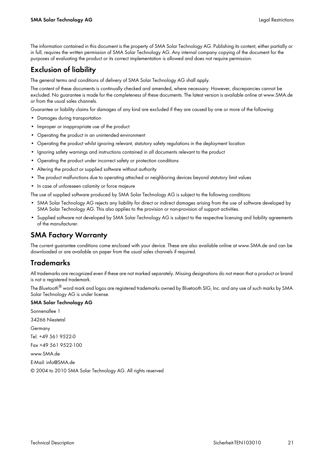The information contained in this document is the property of SMA Solar Technology AG. Publishing its content, either partially or in full, requires the written permission of SMA Solar Technology AG. Any internal company copying of the document for the purposes of evaluating the product or its correct implementation is allowed and does not require permission.

#### **Exclusion of liability**

The general terms and conditions of delivery of SMA Solar Technology AG shall apply.

The content of these documents is continually checked and amended, where necessary. However, discrepancies cannot be excluded. No guarantee is made for the completeness of these documents. The latest version is available online at www.SMA.de or from the usual sales channels.

Guarantee or liability claims for damages of any kind are excluded if they are caused by one or more of the following:

- Damages during transportation
- Improper or inappropriate use of the product
- Operating the product in an unintended environment
- Operating the product whilst ignoring relevant, statutory safety regulations in the deployment location
- Ignoring safety warnings and instructions contained in all documents relevant to the product
- Operating the product under incorrect safety or protection conditions
- Altering the product or supplied software without authority
- The product malfunctions due to operating attached or neighboring devices beyond statutory limit values
- In case of unforeseen calamity or force majeure

The use of supplied software produced by SMA Solar Technology AG is subject to the following conditions:

- SMA Solar Technology AG rejects any liability for direct or indirect damages arising from the use of software developed by SMA Solar Technology AG. This also applies to the provision or non-provision of support activities.
- Supplied software not developed by SMA Solar Technology AG is subject to the respective licensing and liability agreements of the manufacturer.

#### **SMA Factory Warranty**

The current guarantee conditions come enclosed with your device. These are also available online at www.SMA.de and can be downloaded or are available on paper from the usual sales channels if required.

#### **Trademarks**

All trademarks are recognized even if these are not marked separately. Missing designations do not mean that a product or brand is not a reaistered trademark.

The *Bluetooth*® word mark and logos are registered trademarks owned by Bluetooth SIG, Inc. and any use of such marks by SMA Solar Technology AG is under license.

#### **SMA Solar Technology AG**

Sonnenallee 1 34266 Niestetal Germany Tel. +49 561 9522-0 Fax +49 561 9522-100 www.SMA.de E-Mail: info@SMA.de © 2004 to 2010 SMA Solar Technology AG. All rights reserved